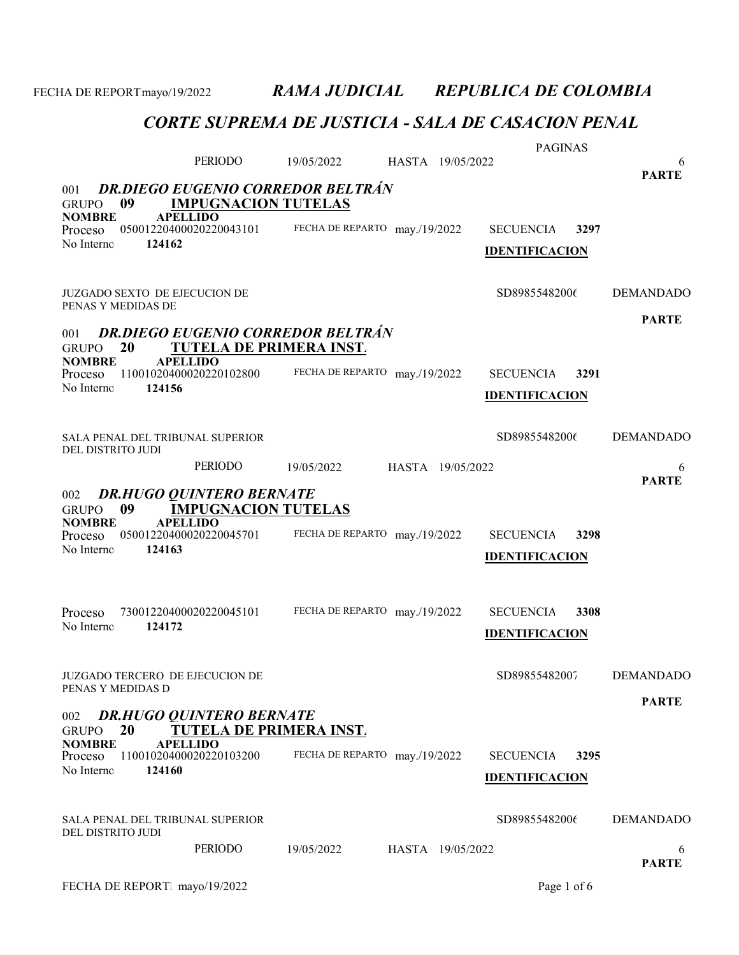PAGINAS PERIODO 19/05/2022 6 HASTA 19/05/2022 GRUPO 09 **IMPUGNACION TUTELAS**<br>NOMBRE APELLIDO **APELLIDO** PARTE 001 DR.DIEGO EUGENIO CORREDOR BELTRÁN Proceso 05001220400020220043101 FECHA DE REPARTO may./19/2022 SECUENCIA 3297 124162 FECHA DE REPARTO may./19/2022 No Interno: IDENTIFICACION JUZGADO SEXTO DE EJECUCION DE SOBOS ESTA EN ENGLACION DE SOBOS ESTA EL SOBOS ESTA EL DEMANDADO PENAS Y MEDIDAS DE GRUPO 20 TUTELA DE PRIMERA INST.<br>NOMBRE APELLIDO **APELLIDO** PARTE 001 DR.DIEGO EUGENIO CORREDOR BELTRÁN Proceso 11001020400020220102800 FECHA DE REPARTO may./19/2022 SECUENCIA 3291 124156 FECHA DE REPARTO may./19/2022 No Interno: IDENTIFICACION SALA PENAL DEL TRIBUNAL SUPERIOR SOBRETA EN SENSEGAS SOBRESSAS EN SOBRESSAS DEMANDADO DEL DISTRITO JUDI PERIODO 19/05/2022 6 HASTA 19/05/2022 GRUPO 09 **IMPUGNACION TUTELAS**<br>NOMBRE APELLIDO **APELLIDO** PARTE 002 DR.HUGO QUINTERO BERNATE Proceso 05001220400020220045701 FECHA DE REPARTO may./19/2022 SECUENCIA 3298 124163 FECHA DE REPARTO may./19/2022 No Interno: IDENTIFICACION Proceso 73001220400020220045101 FECHA DE REPARTO may./19/2022 SECUENCIA 3308 124172 No Interno: 73001220400020220045101 IDENTIFICACION JUZGADO TERCERO DE EJECUCION DE SD89855482007 DEMANDADO PENAS Y MEDIDAS D GRUPO 20 TUTELA DE PRIMERA INST.<br>NOMBRE APELLIDO **APELLIDO** PARTE 002 DR.HUGO OUINTERO BERNATE Proceso 11001020400020220103200 FECHA DE REPARTO may./19/2022 SECUENCIA 3295 124160 FECHA DE REPARTO may./19/2022 No Interno: IDENTIFICACION SALA PENAL DEL TRIBUNAL SUPERIOR SOBIETA EN EL SOBIETA SOBIETAS SOBIETAS EN EL DEMANDADO DEL DISTRITO JUDI PERIODO 19/05/2022 6 HASTA 19/05/2022 PARTE

FECHA DE REPORTmayo/19/2022 RAMA JUDICIAL REPUBLICA DE COLOMBIA

### CORTE SUPREMA DE JUSTICIA - SALA DE CASACION PENAL

FECHA DE REPORT. mayo/19/2022 Page 1 of 6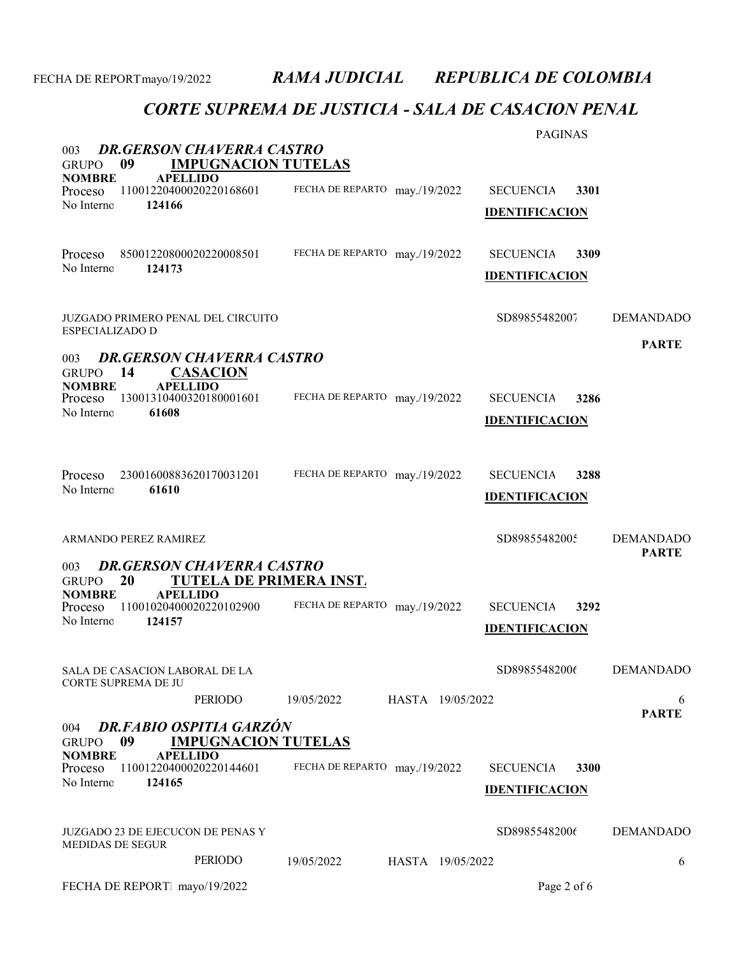| <b>DR.GERSON CHAVERRA CASTRO</b><br>003<br><b>IMPUGNACION TUTELAS</b><br>09<br><b>GRUPO</b>                                                                                          |                                | <b>PAGINAS</b>                                    |                                  |
|--------------------------------------------------------------------------------------------------------------------------------------------------------------------------------------|--------------------------------|---------------------------------------------------|----------------------------------|
| <b>NOMBRE</b><br><b>APELLIDO</b><br>11001220400020220168601<br>Proceso<br>No Interno<br>124166                                                                                       | FECHA DE REPARTO may./19/2022  | <b>SECUENCIA</b><br>3301<br><b>IDENTIFICACION</b> |                                  |
| Proceso<br>85001220800020220008501<br>No Interno<br>124173                                                                                                                           | FECHA DE REPARTO may./19/2022  | <b>SECUENCIA</b><br>3309<br><b>IDENTIFICACION</b> |                                  |
| JUZGADO PRIMERO PENAL DEL CIRCUITO<br>ESPECIALIZADO D                                                                                                                                |                                | SD89855482007                                     | <b>DEMANDADO</b>                 |
| <b>DR.GERSON CHAVERRA CASTRO</b><br>003<br><b>CASACION</b><br><b>GRUPO</b><br>14                                                                                                     |                                |                                                   | <b>PARTE</b>                     |
| <b>NOMBRE</b><br><b>APELLIDO</b><br>13001310400320180001601<br>Proceso<br>No Interno<br>61608                                                                                        | FECHA DE REPARTO may./19/2022  | <b>SECUENCIA</b><br>3286<br><b>IDENTIFICACION</b> |                                  |
| Proceso<br>23001600883620170031201<br>61610<br>No Interno                                                                                                                            | FECHA DE REPARTO may./19/2022  | 3288<br><b>SECUENCIA</b><br><b>IDENTIFICACION</b> |                                  |
| ARMANDO PEREZ RAMIREZ                                                                                                                                                                |                                | SD89855482005                                     | <b>DEMANDADO</b><br><b>PARTE</b> |
| <b>DR.GERSON CHAVERRA CASTRO</b><br>003<br>20<br><b>TUTELA DE PRIMERA INST.</b><br><b>GRUPO</b>                                                                                      |                                |                                                   |                                  |
| <b>APELLIDO</b><br><b>NOMBRE</b><br>11001020400020220102900<br>Proceso<br>No Interno<br>124157                                                                                       | FECHA DE REPARTO may./19/2022  | <b>SECUENCIA</b><br>3292<br><b>IDENTIFICACION</b> |                                  |
| SALA DE CASACION LABORAL DE LA<br><b>CORTE SUPREMA DE JU</b>                                                                                                                         |                                | SD89855482006                                     | <b>DEMANDADO</b>                 |
| <b>PERIODO</b>                                                                                                                                                                       | 19/05/2022<br>HASTA 19/05/2022 |                                                   | 6<br><b>PARTE</b>                |
| DR.FABIO OSPITIA GARZÓN<br>004<br>09<br><b>IMPUGNACION TUTELAS</b><br><b>GRUPO</b><br><b>NOMBRE</b><br><b>APELLIDO</b><br>11001220400020220144601<br>Proceso<br>No Interno<br>124165 | FECHA DE REPARTO may./19/2022  | <b>SECUENCIA</b><br>3300<br><b>IDENTIFICACION</b> |                                  |
| JUZGADO 23 DE EJECUCON DE PENAS Y<br><b>MEDIDAS DE SEGUR</b>                                                                                                                         |                                | SD89855482006                                     | <b>DEMANDADO</b>                 |
| PERIODO                                                                                                                                                                              | 19/05/2022<br>HASTA 19/05/2022 |                                                   | 6                                |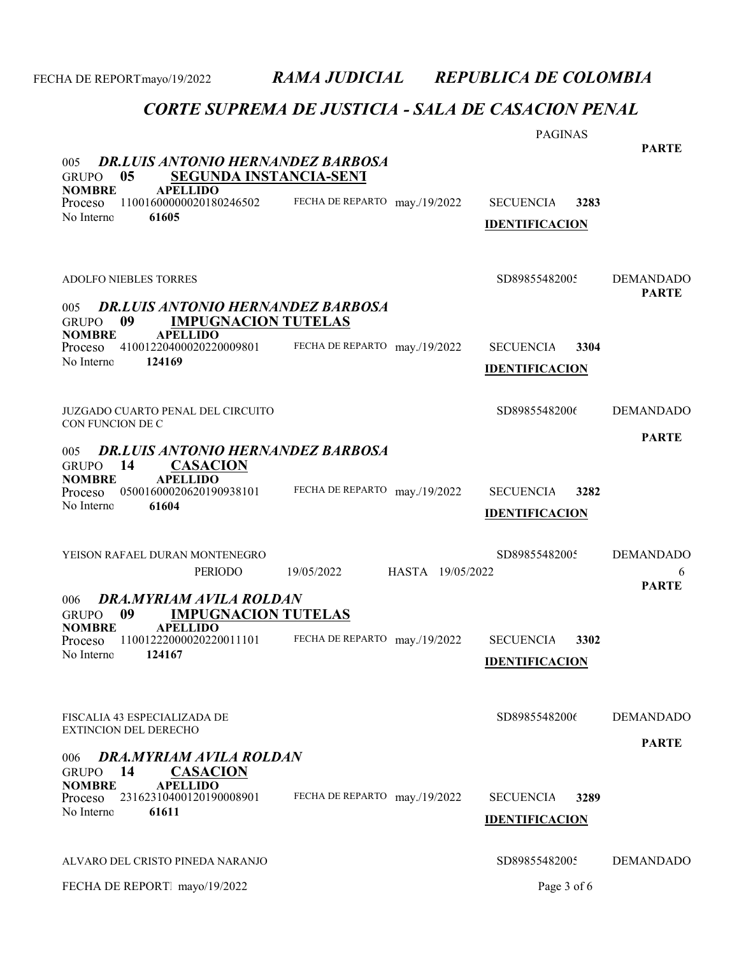| <b>DR.LUIS ANTONIO HERNANDEZ BARBOSA</b><br>005<br><b>SEGUNDA INSTANCIA-SENT</b><br>05<br><b>GRUPO</b>                                                                   |                                | <b>PAGINAS</b>                                    | <b>PARTE</b>                     |  |  |
|--------------------------------------------------------------------------------------------------------------------------------------------------------------------------|--------------------------------|---------------------------------------------------|----------------------------------|--|--|
| <b>NOMBRE</b><br><b>APELLIDO</b><br>11001600000020180246502<br>Proceso<br>61605<br>No Interno                                                                            | FECHA DE REPARTO may./19/2022  | <b>SECUENCIA</b><br>3283<br><b>IDENTIFICACION</b> |                                  |  |  |
| <b>ADOLFO NIEBLES TORRES</b><br><b>DR.LUIS ANTONIO HERNANDEZ BARBOSA</b><br>005                                                                                          |                                | SD89855482005                                     | <b>DEMANDADO</b><br><b>PARTE</b> |  |  |
| <b>IMPUGNACION TUTELAS</b><br>09<br><b>GRUPO</b><br><b>NOMBRE</b><br><b>APELLIDO</b><br>41001220400020220009801<br>Proceso<br>No Interno<br>124169                       | FECHA DE REPARTO may./19/2022  | <b>SECUENCIA</b><br>3304<br><b>IDENTIFICACION</b> |                                  |  |  |
| JUZGADO CUARTO PENAL DEL CIRCUITO<br>CON FUNCION DE C                                                                                                                    |                                | SD89855482006                                     | <b>DEMANDADO</b>                 |  |  |
| <b>DR.LUIS ANTONIO HERNANDEZ BARBOSA</b><br>005                                                                                                                          |                                |                                                   | <b>PARTE</b>                     |  |  |
| 14<br><b>CASACION</b><br><b>GRUPO</b><br><b>APELLIDO</b><br><b>NOMBRE</b><br>05001600020620190938101<br>Proceso<br>No Interno<br>61604                                   | FECHA DE REPARTO may./19/2022  | <b>SECUENCIA</b><br>3282<br><b>IDENTIFICACION</b> |                                  |  |  |
| YEISON RAFAEL DURAN MONTENEGRO<br><b>PERIODO</b>                                                                                                                         | HASTA 19/05/2022<br>19/05/2022 | SD89855482005                                     | <b>DEMANDADO</b><br>6            |  |  |
| <b>PARTE</b><br>DRA.MYRIAM AVILA ROLDAN<br>006<br>09<br><b>IMPUGNACION TUTELAS</b><br><b>GRUPO</b>                                                                       |                                |                                                   |                                  |  |  |
| <b>APELLIDO</b><br><b>NOMBRE</b><br>11001222000020220011101<br>Proceso<br>No Interno<br>124167                                                                           | FECHA DE REPARTO may./19/2022  | <b>SECUENCIA</b><br>3302<br><b>IDENTIFICACION</b> |                                  |  |  |
| FISCALIA 43 ESPECIALIZADA DE<br>EXTINCION DEL DERECHO                                                                                                                    |                                | SD89855482006                                     | <b>DEMANDADO</b>                 |  |  |
| DRA.MYRIAM AVILA ROLDAN<br>006<br><b>CASACION</b><br>14<br><b>GRUPO</b><br><b>APELLIDO</b><br><b>NOMBRE</b><br>23162310400120190008901<br>Proceso<br>No Interno<br>61611 | FECHA DE REPARTO may./19/2022  | <b>SECUENCIA</b><br>3289<br><b>IDENTIFICACION</b> | <b>PARTE</b>                     |  |  |
| ALVARO DEL CRISTO PINEDA NARANJO                                                                                                                                         |                                | SD89855482005                                     | <b>DEMANDADO</b>                 |  |  |
| FECHA DE REPORT mayo/19/2022                                                                                                                                             |                                | Page 3 of 6                                       |                                  |  |  |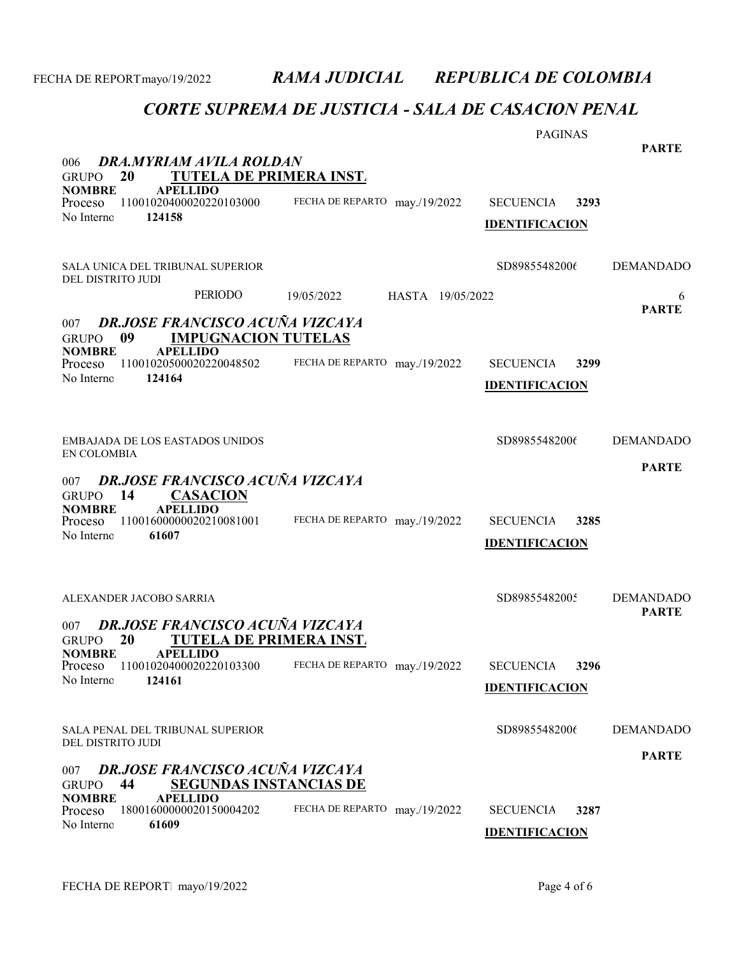|                                                                                                                                                                                                     |                                | <b>PAGINAS</b>                                    | <b>PARTE</b>                     |
|-----------------------------------------------------------------------------------------------------------------------------------------------------------------------------------------------------|--------------------------------|---------------------------------------------------|----------------------------------|
| <b>DRA.MYRIAM AVILA ROLDAN</b><br>006<br><b>TUTELA DE PRIMERA INST.</b><br>20<br><b>GRUPO</b><br><b>NOMBRE</b><br><b>APELLIDO</b><br>11001020400020220103000<br>Proceso<br>No Interno<br>124158     | FECHA DE REPARTO may./19/2022  | <b>SECUENCIA</b><br>3293                          |                                  |
| <b>SALA UNICA DEL TRIBUNAL SUPERIOR</b><br>DEL DISTRITO JUDI<br><b>PERIODO</b>                                                                                                                      | 19/05/2022<br>HASTA 19/05/2022 | <b>IDENTIFICACION</b><br>SD89855482006            | <b>DEMANDADO</b><br>6            |
| <b>DR.JOSE FRANCISCO ACUÑA VIZCAYA</b><br>007<br>09<br><b>IMPUGNACION TUTELAS</b><br><b>GRUPO</b><br><b>APELLIDO</b><br><b>NOMBRE</b><br>11001020500020220048502<br>Proceso<br>No Interno<br>124164 | FECHA DE REPARTO may./19/2022  | <b>SECUENCIA</b><br>3299<br><b>IDENTIFICACION</b> | <b>PARTE</b>                     |
| <b>EMBAJADA DE LOS EASTADOS UNIDOS</b><br><b>EN COLOMBIA</b><br><b>DR.JOSE FRANCISCO ACUÑA VIZCAYA</b><br>007                                                                                       |                                | SD89855482006                                     | <b>DEMANDADO</b><br><b>PARTE</b> |
| 14<br><b>CASACION</b><br><b>GRUPO</b><br><b>NOMBRE</b><br><b>APELLIDO</b><br>11001600000020210081001<br>Proceso<br>No Interno<br>61607                                                              | FECHA DE REPARTO may./19/2022  | <b>SECUENCIA</b><br>3285<br><b>IDENTIFICACION</b> |                                  |
| ALEXANDER JACOBO SARRIA<br>DR.JOSE FRANCISCO ACUÑA VIZCAYA<br>007<br><b>TUTELA DE PRIMERA INST.</b><br>20<br><b>GRUPO</b>                                                                           |                                | SD89855482005                                     | <b>DEMANDADO</b><br><b>PARTE</b> |
| <b>NOMBRE</b><br><b>APELLIDO</b><br>11001020400020220103300<br>Proceso<br>No Interno<br>124161                                                                                                      | FECHA DE REPARTO may./19/2022  | <b>SECUENCIA</b><br>3296<br><b>IDENTIFICACION</b> |                                  |
| SALA PENAL DEL TRIBUNAL SUPERIOR<br>DEL DISTRITO JUDI                                                                                                                                               |                                | SD89855482006                                     | <b>DEMANDADO</b>                 |
| <b>DR.JOSE FRANCISCO ACUÑA VIZCAYA</b><br>007<br><b>SEGUNDAS INSTANCIAS DE</b><br>44<br><b>GRUPO</b><br><b>NOMBRE</b><br><b>APELLIDO</b>                                                            | FECHA DE REPARTO may./19/2022  |                                                   | <b>PARTE</b>                     |
| 18001600000020150004202<br>Proceso<br>No Interno<br>61609                                                                                                                                           |                                | <b>SECUENCIA</b><br>3287<br><b>IDENTIFICACION</b> |                                  |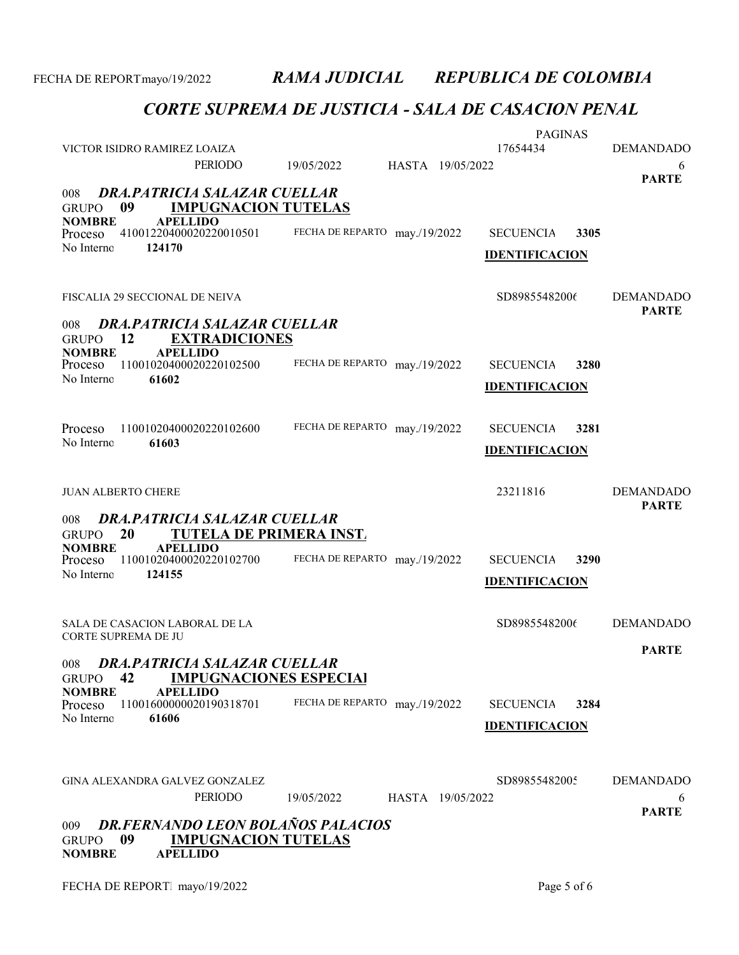| VICTOR ISIDRO RAMIREZ LOAIZA<br>008<br>09<br><b>GRUPO</b><br><b>NOMBRE</b>                                                              | <b>PERIODO</b><br><b>DRA.PATRICIA SALAZAR CUELLAR</b><br><b>IMPUGNACION TUTELAS</b><br><b>APELLIDO</b> | 19/05/2022                                             | HASTA 19/05/2022 | <b>PAGINAS</b><br>17654434                |      | <b>DEMANDADO</b><br>6<br><b>PARTE</b> |
|-----------------------------------------------------------------------------------------------------------------------------------------|--------------------------------------------------------------------------------------------------------|--------------------------------------------------------|------------------|-------------------------------------------|------|---------------------------------------|
| Proceso<br>No Interno<br>124170                                                                                                         | 41001220400020220010501                                                                                | FECHA DE REPARTO may./19/2022                          |                  | <b>SECUENCIA</b><br><b>IDENTIFICACION</b> | 3305 |                                       |
| FISCALIA 29 SECCIONAL DE NEIVA<br>008<br>12<br><b>GRUPO</b>                                                                             | <b>DRA.PATRICIA SALAZAR CUELLAR</b><br><b>EXTRADICIONES</b>                                            |                                                        |                  | SD89855482006                             |      | <b>DEMANDADO</b><br><b>PARTE</b>      |
| <b>NOMBRE</b><br>Proceso<br>No Interno<br>61602                                                                                         | <b>APELLIDO</b><br>11001020400020220102500                                                             | FECHA DE REPARTO may./19/2022                          |                  | <b>SECUENCIA</b><br><b>IDENTIFICACION</b> | 3280 |                                       |
| Proceso<br>No Interno<br>61603                                                                                                          | 11001020400020220102600                                                                                | FECHA DE REPARTO may./19/2022                          |                  | <b>SECUENCIA</b><br><b>IDENTIFICACION</b> | 3281 |                                       |
| <b>JUAN ALBERTO CHERE</b><br>008<br>20<br><b>GRUPO</b><br><b>NOMBRE</b>                                                                 | DRA.PATRICIA SALAZAR CUELLAR<br><b>TUTELA DE PRIMERA INST.</b><br><b>APELLIDO</b>                      |                                                        |                  | 23211816                                  |      | <b>DEMANDADO</b><br><b>PARTE</b>      |
| Proceso<br>No Interno<br>124155                                                                                                         | 11001020400020220102700                                                                                | FECHA DE REPARTO may./19/2022                          |                  | <b>SECUENCIA</b><br><b>IDENTIFICACION</b> | 3290 |                                       |
| SALA DE CASACION LABORAL DE LA<br><b>CORTE SUPREMA DE JU</b><br>008 DRA.PATRICIA SALAZAR CUELLAR<br>42<br><b>GRUPO</b><br><b>NOMBRE</b> | <b>IMPUGNACIONES ESPECIAL</b><br><b>APELLIDO</b>                                                       |                                                        |                  | SD89855482006                             |      | <b>DEMANDADO</b><br><b>PARTE</b>      |
| Proceso<br>No Interno<br>61606                                                                                                          | 11001600000020190318701                                                                                | FECHA DE REPARTO may./19/2022                          |                  | <b>SECUENCIA</b><br><b>IDENTIFICACION</b> | 3284 |                                       |
| GINA ALEXANDRA GALVEZ GONZALEZ<br>009<br><b>GRUPO</b><br>09<br><b>NOMBRE</b>                                                            | <b>PERIODO</b><br><b>IMPUGNACION TUTELAS</b><br><b>APELLIDO</b>                                        | 19/05/2022<br><b>DR.FERNANDO LEON BOLAÑOS PALACIOS</b> | HASTA 19/05/2022 | SD89855482005                             |      | <b>DEMANDADO</b><br>6<br><b>PARTE</b> |